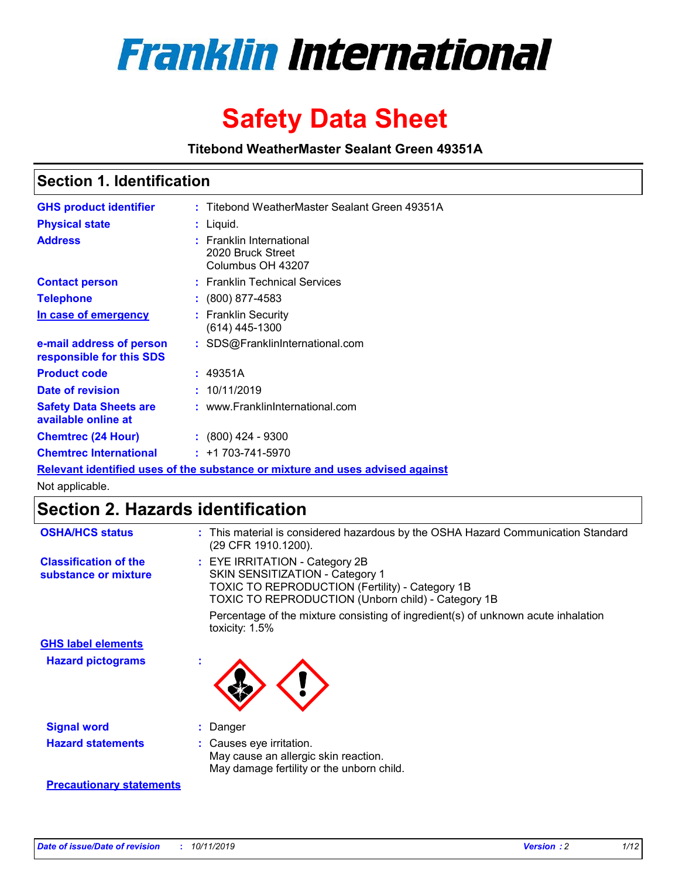

# **Safety Data Sheet**

**Titebond WeatherMaster Sealant Green 49351A**

### **Section 1. Identification**

| <b>GHS product identifier</b>                        | : Titebond WeatherMaster Sealant Green 49351A                                 |
|------------------------------------------------------|-------------------------------------------------------------------------------|
| <b>Physical state</b>                                | : Liquid.                                                                     |
| <b>Address</b>                                       | : Franklin International<br>2020 Bruck Street<br>Columbus OH 43207            |
| <b>Contact person</b>                                | : Franklin Technical Services                                                 |
| <b>Telephone</b>                                     | $\colon$ (800) 877-4583                                                       |
| In case of emergency                                 | : Franklin Security<br>$(614)$ 445-1300                                       |
| e-mail address of person<br>responsible for this SDS | : SDS@FranklinInternational.com                                               |
| <b>Product code</b>                                  | : 49351A                                                                      |
| Date of revision                                     | : 10/11/2019                                                                  |
| <b>Safety Data Sheets are</b><br>available online at | : www.FranklinInternational.com                                               |
| <b>Chemtrec (24 Hour)</b>                            | $\div$ (800) 424 - 9300                                                       |
| <b>Chemtrec International</b>                        | $: +1703 - 741 - 5970$                                                        |
|                                                      | Relevant identified uses of the substance or mixture and uses advised against |

Not applicable.

## **Section 2. Hazards identification**

| <b>OSHA/HCS status</b>                               | : This material is considered hazardous by the OSHA Hazard Communication Standard<br>(29 CFR 1910.1200).                                                                                 |
|------------------------------------------------------|------------------------------------------------------------------------------------------------------------------------------------------------------------------------------------------|
| <b>Classification of the</b><br>substance or mixture | : EYE IRRITATION - Category 2B<br>SKIN SENSITIZATION - Category 1<br><b>TOXIC TO REPRODUCTION (Fertility) - Category 1B</b><br><b>TOXIC TO REPRODUCTION (Unborn child) - Category 1B</b> |
|                                                      | Percentage of the mixture consisting of ingredient(s) of unknown acute inhalation<br>toxicity: $1.5\%$                                                                                   |
| <b>GHS label elements</b>                            |                                                                                                                                                                                          |
| <b>Hazard pictograms</b>                             |                                                                                                                                                                                          |
| <b>Signal word</b>                                   | : Danger                                                                                                                                                                                 |
| <b>Hazard statements</b>                             | : Causes eye irritation.<br>May cause an allergic skin reaction.<br>May damage fertility or the unborn child.                                                                            |
| <b>Precautionary statements</b>                      |                                                                                                                                                                                          |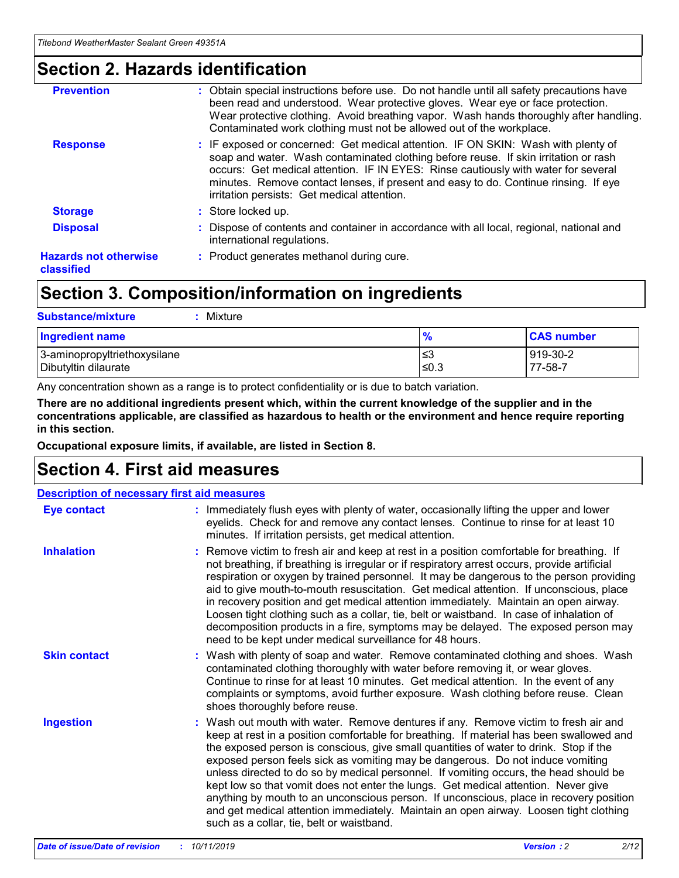### **Section 2. Hazards identification**

| <b>Prevention</b>                          | : Obtain special instructions before use. Do not handle until all safety precautions have<br>been read and understood. Wear protective gloves. Wear eye or face protection.<br>Wear protective clothing. Avoid breathing vapor. Wash hands thoroughly after handling.<br>Contaminated work clothing must not be allowed out of the workplace.                                                        |
|--------------------------------------------|------------------------------------------------------------------------------------------------------------------------------------------------------------------------------------------------------------------------------------------------------------------------------------------------------------------------------------------------------------------------------------------------------|
| <b>Response</b>                            | : IF exposed or concerned: Get medical attention. IF ON SKIN: Wash with plenty of<br>soap and water. Wash contaminated clothing before reuse. If skin irritation or rash<br>occurs: Get medical attention. IF IN EYES: Rinse cautiously with water for several<br>minutes. Remove contact lenses, if present and easy to do. Continue rinsing. If eye<br>irritation persists: Get medical attention. |
| <b>Storage</b>                             | : Store locked up.                                                                                                                                                                                                                                                                                                                                                                                   |
| <b>Disposal</b>                            | : Dispose of contents and container in accordance with all local, regional, national and<br>international regulations.                                                                                                                                                                                                                                                                               |
| <b>Hazards not otherwise</b><br>classified | : Product generates methanol during cure.                                                                                                                                                                                                                                                                                                                                                            |
|                                            |                                                                                                                                                                                                                                                                                                                                                                                                      |

### **Section 3. Composition/information on ingredients**

| <b>Substance/mixture</b><br>: Mixture                |               |                     |
|------------------------------------------------------|---------------|---------------------|
| Ingredient name                                      | $\frac{9}{6}$ | <b>CAS number</b>   |
| 3-aminopropyltriethoxysilane<br>Dibutyltin dilaurate | צ≥<br>≤0.3    | 919-30-2<br>77-58-7 |

Any concentration shown as a range is to protect confidentiality or is due to batch variation.

**There are no additional ingredients present which, within the current knowledge of the supplier and in the concentrations applicable, are classified as hazardous to health or the environment and hence require reporting in this section.**

**Occupational exposure limits, if available, are listed in Section 8.**

### **Section 4. First aid measures**

| <b>Description of necessary first aid measures</b> |                                                                                                                                                                                                                                                                                                                                                                                                                                                                                                                                                                                                                                                                                                                                                                           |  |  |  |
|----------------------------------------------------|---------------------------------------------------------------------------------------------------------------------------------------------------------------------------------------------------------------------------------------------------------------------------------------------------------------------------------------------------------------------------------------------------------------------------------------------------------------------------------------------------------------------------------------------------------------------------------------------------------------------------------------------------------------------------------------------------------------------------------------------------------------------------|--|--|--|
| <b>Eye contact</b>                                 | : Immediately flush eyes with plenty of water, occasionally lifting the upper and lower<br>eyelids. Check for and remove any contact lenses. Continue to rinse for at least 10<br>minutes. If irritation persists, get medical attention.                                                                                                                                                                                                                                                                                                                                                                                                                                                                                                                                 |  |  |  |
| <b>Inhalation</b>                                  | : Remove victim to fresh air and keep at rest in a position comfortable for breathing. If<br>not breathing, if breathing is irregular or if respiratory arrest occurs, provide artificial<br>respiration or oxygen by trained personnel. It may be dangerous to the person providing<br>aid to give mouth-to-mouth resuscitation. Get medical attention. If unconscious, place<br>in recovery position and get medical attention immediately. Maintain an open airway.<br>Loosen tight clothing such as a collar, tie, belt or waistband. In case of inhalation of<br>decomposition products in a fire, symptoms may be delayed. The exposed person may<br>need to be kept under medical surveillance for 48 hours.                                                       |  |  |  |
| <b>Skin contact</b>                                | : Wash with plenty of soap and water. Remove contaminated clothing and shoes. Wash<br>contaminated clothing thoroughly with water before removing it, or wear gloves.<br>Continue to rinse for at least 10 minutes. Get medical attention. In the event of any<br>complaints or symptoms, avoid further exposure. Wash clothing before reuse. Clean<br>shoes thoroughly before reuse.                                                                                                                                                                                                                                                                                                                                                                                     |  |  |  |
| <b>Ingestion</b>                                   | : Wash out mouth with water. Remove dentures if any. Remove victim to fresh air and<br>keep at rest in a position comfortable for breathing. If material has been swallowed and<br>the exposed person is conscious, give small quantities of water to drink. Stop if the<br>exposed person feels sick as vomiting may be dangerous. Do not induce vomiting<br>unless directed to do so by medical personnel. If vomiting occurs, the head should be<br>kept low so that vomit does not enter the lungs. Get medical attention. Never give<br>anything by mouth to an unconscious person. If unconscious, place in recovery position<br>and get medical attention immediately. Maintain an open airway. Loosen tight clothing<br>such as a collar, tie, belt or waistband. |  |  |  |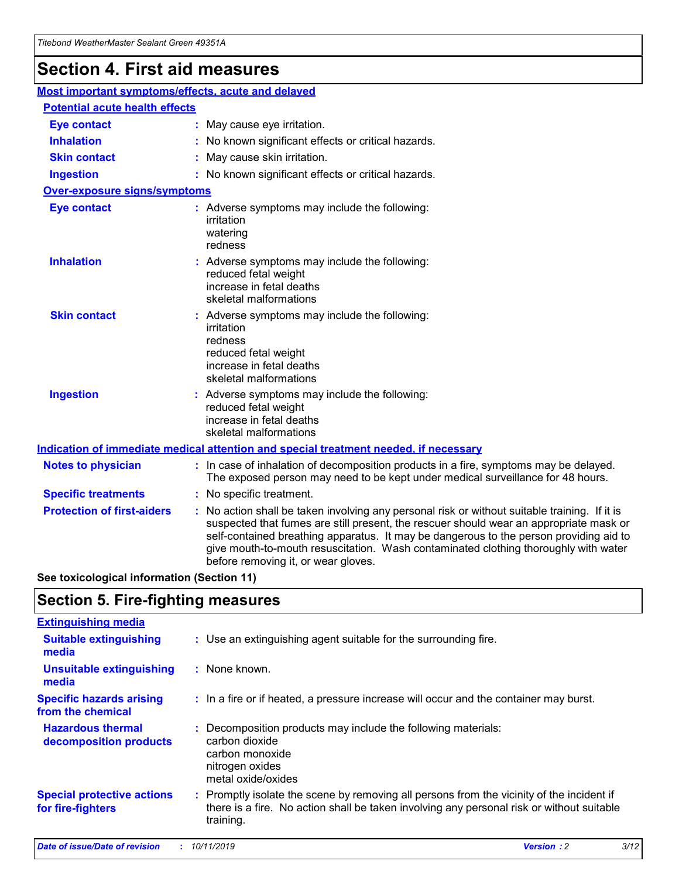## **Section 4. First aid measures**

| Most important symptoms/effects, acute and delayed |  |                                                                                                                                                                                                                                                                                                                                                                                                                 |  |  |
|----------------------------------------------------|--|-----------------------------------------------------------------------------------------------------------------------------------------------------------------------------------------------------------------------------------------------------------------------------------------------------------------------------------------------------------------------------------------------------------------|--|--|
| <b>Potential acute health effects</b>              |  |                                                                                                                                                                                                                                                                                                                                                                                                                 |  |  |
| <b>Eye contact</b>                                 |  | : May cause eye irritation.                                                                                                                                                                                                                                                                                                                                                                                     |  |  |
| <b>Inhalation</b>                                  |  | : No known significant effects or critical hazards.                                                                                                                                                                                                                                                                                                                                                             |  |  |
| <b>Skin contact</b>                                |  | : May cause skin irritation.                                                                                                                                                                                                                                                                                                                                                                                    |  |  |
| <b>Ingestion</b>                                   |  | : No known significant effects or critical hazards.                                                                                                                                                                                                                                                                                                                                                             |  |  |
| Over-exposure signs/symptoms                       |  |                                                                                                                                                                                                                                                                                                                                                                                                                 |  |  |
| <b>Eye contact</b>                                 |  | : Adverse symptoms may include the following:<br>irritation<br>watering<br>redness                                                                                                                                                                                                                                                                                                                              |  |  |
| <b>Inhalation</b>                                  |  | : Adverse symptoms may include the following:<br>reduced fetal weight<br>increase in fetal deaths<br>skeletal malformations                                                                                                                                                                                                                                                                                     |  |  |
| <b>Skin contact</b>                                |  | : Adverse symptoms may include the following:<br>irritation<br>redness<br>reduced fetal weight<br>increase in fetal deaths<br>skeletal malformations                                                                                                                                                                                                                                                            |  |  |
| <b>Ingestion</b>                                   |  | : Adverse symptoms may include the following:<br>reduced fetal weight<br>increase in fetal deaths<br>skeletal malformations                                                                                                                                                                                                                                                                                     |  |  |
|                                                    |  | <b>Indication of immediate medical attention and special treatment needed, if necessary</b>                                                                                                                                                                                                                                                                                                                     |  |  |
| <b>Notes to physician</b>                          |  | : In case of inhalation of decomposition products in a fire, symptoms may be delayed.<br>The exposed person may need to be kept under medical surveillance for 48 hours.                                                                                                                                                                                                                                        |  |  |
| <b>Specific treatments</b>                         |  | : No specific treatment.                                                                                                                                                                                                                                                                                                                                                                                        |  |  |
| <b>Protection of first-aiders</b>                  |  | : No action shall be taken involving any personal risk or without suitable training. If it is<br>suspected that fumes are still present, the rescuer should wear an appropriate mask or<br>self-contained breathing apparatus. It may be dangerous to the person providing aid to<br>give mouth-to-mouth resuscitation. Wash contaminated clothing thoroughly with water<br>before removing it, or wear gloves. |  |  |

**See toxicological information (Section 11)**

### **Section 5. Fire-fighting measures**

| <b>Extinguishing media</b>                             |                                                                                                                                                                                                     |
|--------------------------------------------------------|-----------------------------------------------------------------------------------------------------------------------------------------------------------------------------------------------------|
| <b>Suitable extinguishing</b><br>media                 | : Use an extinguishing agent suitable for the surrounding fire.                                                                                                                                     |
| <b>Unsuitable extinguishing</b><br>media               | $:$ None known.                                                                                                                                                                                     |
| <b>Specific hazards arising</b><br>from the chemical   | : In a fire or if heated, a pressure increase will occur and the container may burst.                                                                                                               |
| <b>Hazardous thermal</b><br>decomposition products     | : Decomposition products may include the following materials:<br>carbon dioxide<br>carbon monoxide<br>nitrogen oxides<br>metal oxide/oxides                                                         |
| <b>Special protective actions</b><br>for fire-fighters | : Promptly isolate the scene by removing all persons from the vicinity of the incident if<br>there is a fire. No action shall be taken involving any personal risk or without suitable<br>training. |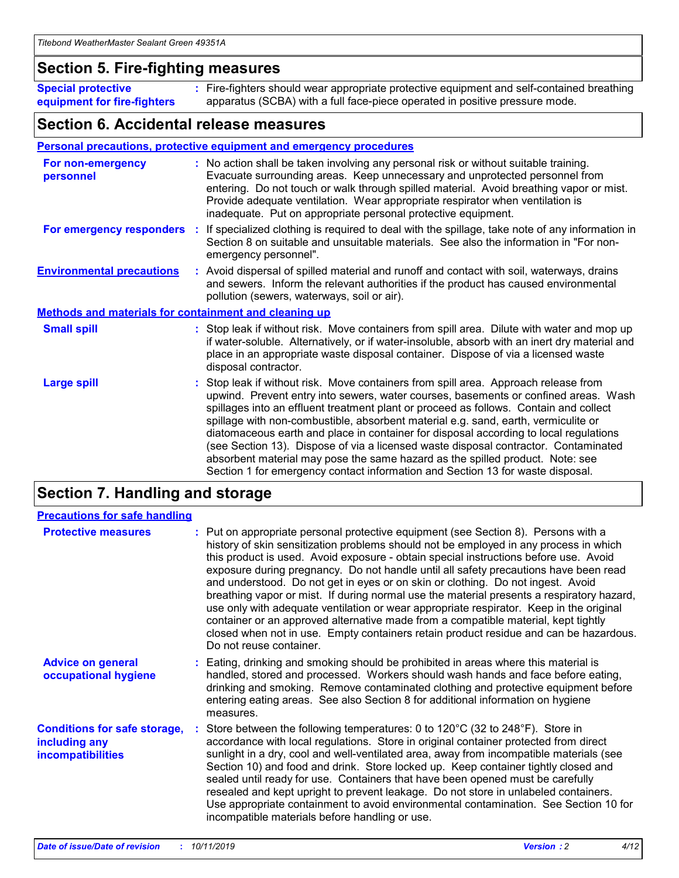### **Section 5. Fire-fighting measures**

**Special protective equipment for fire-fighters** Fire-fighters should wear appropriate protective equipment and self-contained breathing **:** apparatus (SCBA) with a full face-piece operated in positive pressure mode.

### **Section 6. Accidental release measures**

#### **Personal precautions, protective equipment and emergency procedures**

| For non-emergency<br>personnel                               | : No action shall be taken involving any personal risk or without suitable training.<br>Evacuate surrounding areas. Keep unnecessary and unprotected personnel from<br>entering. Do not touch or walk through spilled material. Avoid breathing vapor or mist.<br>Provide adequate ventilation. Wear appropriate respirator when ventilation is<br>inadequate. Put on appropriate personal protective equipment.                                                                                                                                                                                                                                                                                             |
|--------------------------------------------------------------|--------------------------------------------------------------------------------------------------------------------------------------------------------------------------------------------------------------------------------------------------------------------------------------------------------------------------------------------------------------------------------------------------------------------------------------------------------------------------------------------------------------------------------------------------------------------------------------------------------------------------------------------------------------------------------------------------------------|
| For emergency responders                                     | : If specialized clothing is required to deal with the spillage, take note of any information in<br>Section 8 on suitable and unsuitable materials. See also the information in "For non-<br>emergency personnel".                                                                                                                                                                                                                                                                                                                                                                                                                                                                                           |
| <b>Environmental precautions</b>                             | : Avoid dispersal of spilled material and runoff and contact with soil, waterways, drains<br>and sewers. Inform the relevant authorities if the product has caused environmental<br>pollution (sewers, waterways, soil or air).                                                                                                                                                                                                                                                                                                                                                                                                                                                                              |
| <b>Methods and materials for containment and cleaning up</b> |                                                                                                                                                                                                                                                                                                                                                                                                                                                                                                                                                                                                                                                                                                              |
| <b>Small spill</b>                                           | : Stop leak if without risk. Move containers from spill area. Dilute with water and mop up<br>if water-soluble. Alternatively, or if water-insoluble, absorb with an inert dry material and<br>place in an appropriate waste disposal container. Dispose of via a licensed waste<br>disposal contractor.                                                                                                                                                                                                                                                                                                                                                                                                     |
| <b>Large spill</b>                                           | : Stop leak if without risk. Move containers from spill area. Approach release from<br>upwind. Prevent entry into sewers, water courses, basements or confined areas. Wash<br>spillages into an effluent treatment plant or proceed as follows. Contain and collect<br>spillage with non-combustible, absorbent material e.g. sand, earth, vermiculite or<br>diatomaceous earth and place in container for disposal according to local regulations<br>(see Section 13). Dispose of via a licensed waste disposal contractor. Contaminated<br>absorbent material may pose the same hazard as the spilled product. Note: see<br>Section 1 for emergency contact information and Section 13 for waste disposal. |

### **Section 7. Handling and storage**

| <b>Precautions for safe handling</b>                                             |                                                                                                                                                                                                                                                                                                                                                                                                                                                                                                                                                                                                                                                                                                                                                                                                                                                  |
|----------------------------------------------------------------------------------|--------------------------------------------------------------------------------------------------------------------------------------------------------------------------------------------------------------------------------------------------------------------------------------------------------------------------------------------------------------------------------------------------------------------------------------------------------------------------------------------------------------------------------------------------------------------------------------------------------------------------------------------------------------------------------------------------------------------------------------------------------------------------------------------------------------------------------------------------|
| <b>Protective measures</b>                                                       | : Put on appropriate personal protective equipment (see Section 8). Persons with a<br>history of skin sensitization problems should not be employed in any process in which<br>this product is used. Avoid exposure - obtain special instructions before use. Avoid<br>exposure during pregnancy. Do not handle until all safety precautions have been read<br>and understood. Do not get in eyes or on skin or clothing. Do not ingest. Avoid<br>breathing vapor or mist. If during normal use the material presents a respiratory hazard,<br>use only with adequate ventilation or wear appropriate respirator. Keep in the original<br>container or an approved alternative made from a compatible material, kept tightly<br>closed when not in use. Empty containers retain product residue and can be hazardous.<br>Do not reuse container. |
| <b>Advice on general</b><br>occupational hygiene                                 | : Eating, drinking and smoking should be prohibited in areas where this material is<br>handled, stored and processed. Workers should wash hands and face before eating,<br>drinking and smoking. Remove contaminated clothing and protective equipment before<br>entering eating areas. See also Section 8 for additional information on hygiene<br>measures.                                                                                                                                                                                                                                                                                                                                                                                                                                                                                    |
| <b>Conditions for safe storage,</b><br>including any<br><b>incompatibilities</b> | Store between the following temperatures: 0 to 120 $\degree$ C (32 to 248 $\degree$ F). Store in<br>accordance with local regulations. Store in original container protected from direct<br>sunlight in a dry, cool and well-ventilated area, away from incompatible materials (see<br>Section 10) and food and drink. Store locked up. Keep container tightly closed and<br>sealed until ready for use. Containers that have been opened must be carefully<br>resealed and kept upright to prevent leakage. Do not store in unlabeled containers.<br>Use appropriate containment to avoid environmental contamination. See Section 10 for<br>incompatible materials before handling or use.                                                                                                                                                     |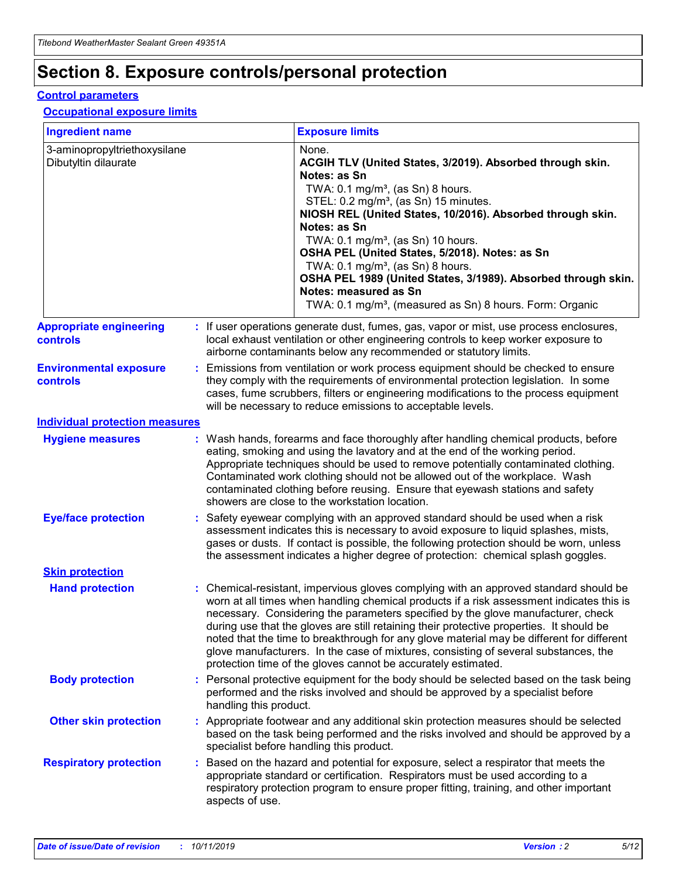## **Section 8. Exposure controls/personal protection**

#### **Control parameters**

#### **Occupational exposure limits**

| <b>Ingredient name</b>                               |    |                        | <b>Exposure limits</b>                                                                                                                                                                                                                                                                                                                                                                                                                                                                                                                                                                                                 |
|------------------------------------------------------|----|------------------------|------------------------------------------------------------------------------------------------------------------------------------------------------------------------------------------------------------------------------------------------------------------------------------------------------------------------------------------------------------------------------------------------------------------------------------------------------------------------------------------------------------------------------------------------------------------------------------------------------------------------|
| 3-aminopropyltriethoxysilane<br>Dibutyltin dilaurate |    |                        | None.<br>ACGIH TLV (United States, 3/2019). Absorbed through skin.<br>Notes: as Sn<br>TWA: $0.1 \text{ mg/m}^3$ , (as Sn) 8 hours.<br>STEL: 0.2 mg/m <sup>3</sup> , (as Sn) 15 minutes.<br>NIOSH REL (United States, 10/2016). Absorbed through skin.<br>Notes: as Sn<br>TWA: 0.1 mg/m <sup>3</sup> , (as Sn) 10 hours.<br>OSHA PEL (United States, 5/2018). Notes: as Sn<br>TWA: $0.1 \text{ mg/m}^3$ , (as Sn) 8 hours.<br>OSHA PEL 1989 (United States, 3/1989). Absorbed through skin.<br>Notes: measured as Sn<br>TWA: 0.1 mg/m <sup>3</sup> , (measured as Sn) 8 hours. Form: Organic                            |
| <b>Appropriate engineering</b><br>controls           |    |                        | : If user operations generate dust, fumes, gas, vapor or mist, use process enclosures,<br>local exhaust ventilation or other engineering controls to keep worker exposure to<br>airborne contaminants below any recommended or statutory limits.                                                                                                                                                                                                                                                                                                                                                                       |
| <b>Environmental exposure</b><br>controls            |    |                        | Emissions from ventilation or work process equipment should be checked to ensure<br>they comply with the requirements of environmental protection legislation. In some<br>cases, fume scrubbers, filters or engineering modifications to the process equipment<br>will be necessary to reduce emissions to acceptable levels.                                                                                                                                                                                                                                                                                          |
| <b>Individual protection measures</b>                |    |                        |                                                                                                                                                                                                                                                                                                                                                                                                                                                                                                                                                                                                                        |
| <b>Hygiene measures</b>                              |    |                        | : Wash hands, forearms and face thoroughly after handling chemical products, before<br>eating, smoking and using the lavatory and at the end of the working period.<br>Appropriate techniques should be used to remove potentially contaminated clothing.<br>Contaminated work clothing should not be allowed out of the workplace. Wash<br>contaminated clothing before reusing. Ensure that eyewash stations and safety<br>showers are close to the workstation location.                                                                                                                                            |
| <b>Eye/face protection</b>                           |    |                        | : Safety eyewear complying with an approved standard should be used when a risk<br>assessment indicates this is necessary to avoid exposure to liquid splashes, mists,<br>gases or dusts. If contact is possible, the following protection should be worn, unless<br>the assessment indicates a higher degree of protection: chemical splash goggles.                                                                                                                                                                                                                                                                  |
| <b>Skin protection</b>                               |    |                        |                                                                                                                                                                                                                                                                                                                                                                                                                                                                                                                                                                                                                        |
| <b>Hand protection</b>                               |    |                        | : Chemical-resistant, impervious gloves complying with an approved standard should be<br>worn at all times when handling chemical products if a risk assessment indicates this is<br>necessary. Considering the parameters specified by the glove manufacturer, check<br>during use that the gloves are still retaining their protective properties. It should be<br>noted that the time to breakthrough for any glove material may be different for different<br>glove manufacturers. In the case of mixtures, consisting of several substances, the<br>protection time of the gloves cannot be accurately estimated. |
| <b>Body protection</b>                               |    | handling this product. | Personal protective equipment for the body should be selected based on the task being<br>performed and the risks involved and should be approved by a specialist before                                                                                                                                                                                                                                                                                                                                                                                                                                                |
| <b>Other skin protection</b>                         |    |                        | : Appropriate footwear and any additional skin protection measures should be selected<br>based on the task being performed and the risks involved and should be approved by a<br>specialist before handling this product.                                                                                                                                                                                                                                                                                                                                                                                              |
| <b>Respiratory protection</b>                        | ÷. | aspects of use.        | Based on the hazard and potential for exposure, select a respirator that meets the<br>appropriate standard or certification. Respirators must be used according to a<br>respiratory protection program to ensure proper fitting, training, and other important                                                                                                                                                                                                                                                                                                                                                         |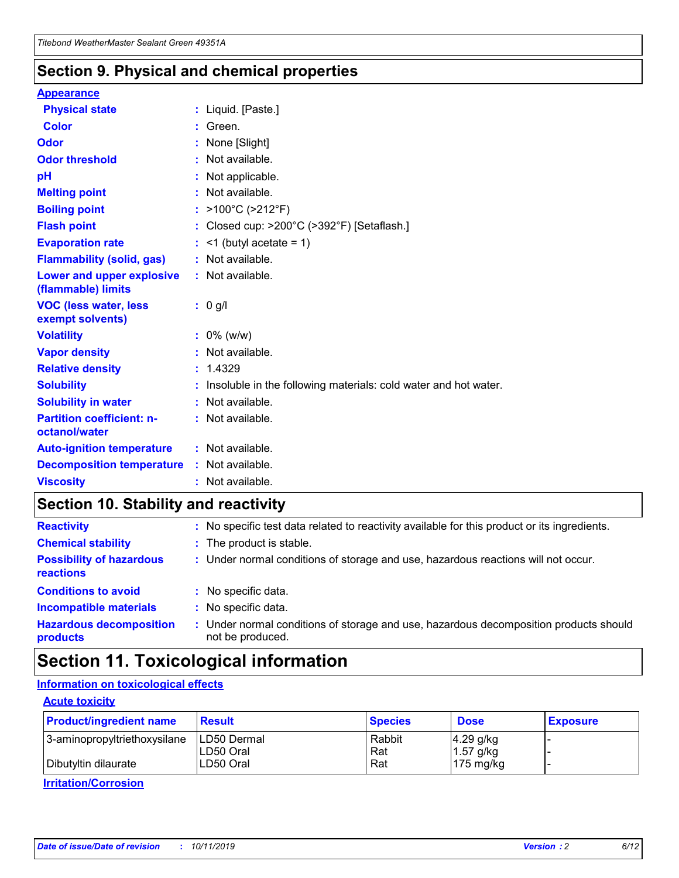### **Section 9. Physical and chemical properties**

#### **Appearance**

| <b>Physical state</b>                             | : Liquid. [Paste.]                                              |
|---------------------------------------------------|-----------------------------------------------------------------|
| Color                                             | Green.                                                          |
| Odor                                              | : None [Slight]                                                 |
| <b>Odor threshold</b>                             | : Not available.                                                |
| рH                                                | : Not applicable.                                               |
| <b>Melting point</b>                              | : Not available.                                                |
| <b>Boiling point</b>                              | : >100°C (>212°F)                                               |
| <b>Flash point</b>                                | : Closed cup: $>200^{\circ}$ C ( $>392^{\circ}$ F) [Setaflash.] |
| <b>Evaporation rate</b>                           | $:$ <1 (butyl acetate = 1)                                      |
| <b>Flammability (solid, gas)</b>                  | : Not available.                                                |
| Lower and upper explosive<br>(flammable) limits   | : Not available.                                                |
| <b>VOC (less water, less</b><br>exempt solvents)  | : 0 g/l                                                         |
| <b>Volatility</b>                                 | $: 0\%$ (w/w)                                                   |
| <b>Vapor density</b>                              | : Not available.                                                |
| <b>Relative density</b>                           | : 1.4329                                                        |
| <b>Solubility</b>                                 | Insoluble in the following materials: cold water and hot water. |
| <b>Solubility in water</b>                        | : Not available.                                                |
| <b>Partition coefficient: n-</b><br>octanol/water | $:$ Not available.                                              |
| <b>Auto-ignition temperature</b>                  | : Not available.                                                |
| <b>Decomposition temperature</b>                  | : Not available.                                                |
|                                                   |                                                                 |

### **Section 10. Stability and reactivity**

| <b>Reactivity</b>                            |    | : No specific test data related to reactivity available for this product or its ingredients.            |
|----------------------------------------------|----|---------------------------------------------------------------------------------------------------------|
| <b>Chemical stability</b>                    |    | : The product is stable.                                                                                |
| <b>Possibility of hazardous</b><br>reactions |    | : Under normal conditions of storage and use, hazardous reactions will not occur.                       |
| <b>Conditions to avoid</b>                   |    | : No specific data.                                                                                     |
| <b>Incompatible materials</b>                | ٠. | No specific data.                                                                                       |
| <b>Hazardous decomposition</b><br>products   | ÷. | Under normal conditions of storage and use, hazardous decomposition products should<br>not be produced. |

### **Section 11. Toxicological information**

### **Information on toxicological effects**

#### **Acute toxicity**

| <b>Product/ingredient name</b> | <b>Result</b>           | <b>Species</b> | <b>Dose</b>                | <b>Exposure</b> |
|--------------------------------|-------------------------|----------------|----------------------------|-----------------|
| 3-aminopropyltriethoxysilane   | <b>ILD50 Dermal</b>     | Rabbit         | 4.29 g/kg                  |                 |
| Dibutyltin dilaurate           | ILD50 Oral<br>LD50 Oral | Rat<br>Rat     | $1.57$ g/kg<br>175 $mg/kg$ |                 |
|                                |                         |                |                            |                 |

**Irritation/Corrosion**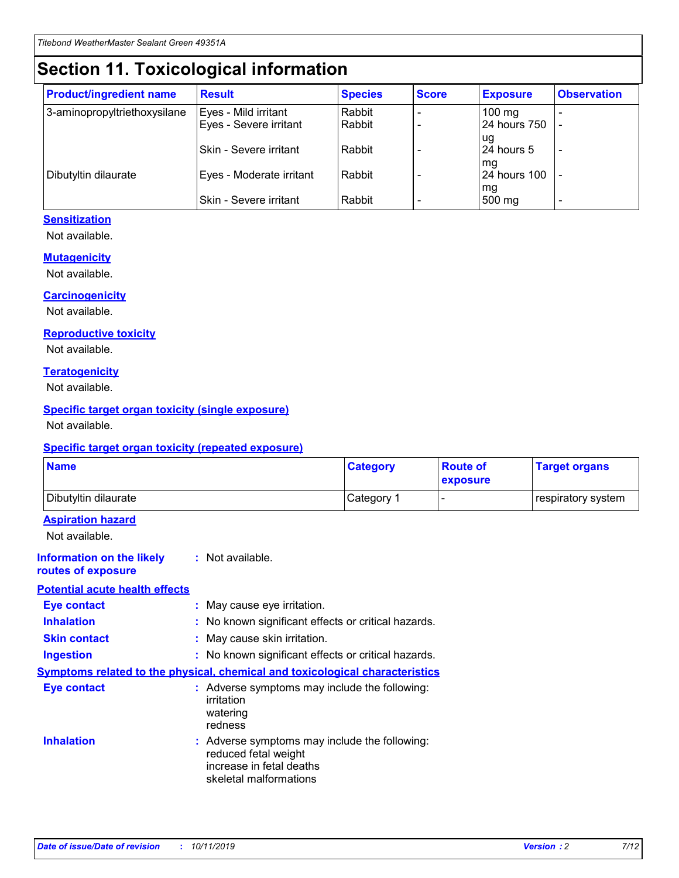## **Section 11. Toxicological information**

| <b>Product/ingredient name</b> | <b>Result</b>            | <b>Species</b> | <b>Score</b> | <b>Exposure</b>           | <b>Observation</b> |
|--------------------------------|--------------------------|----------------|--------------|---------------------------|--------------------|
| 3-aminopropyltriethoxysilane   | Eyes - Mild irritant     | Rabbit         |              | $100$ mg                  |                    |
|                                | Eyes - Severe irritant   | Rabbit         |              | 24 hours 750              |                    |
|                                |                          |                |              | ug                        |                    |
|                                | Skin - Severe irritant   | Rabbit         |              | 24 hours 5                | -                  |
| Dibutyltin dilaurate           | Eyes - Moderate irritant | Rabbit         |              | mq<br><b>24 hours 100</b> |                    |
|                                |                          |                |              | mg                        |                    |
|                                | Skin - Severe irritant   | Rabbit         |              | 500 mg                    |                    |

#### **Sensitization**

Not available.

#### **Mutagenicity**

Not available.

#### **Carcinogenicity**

Not available.

#### **Reproductive toxicity**

Not available.

#### **Teratogenicity**

Not available.

#### **Specific target organ toxicity (single exposure)**

Not available.

#### **Specific target organ toxicity (repeated exposure)**

| <b>Name</b>                                                                  |                                                                                                                             | <b>Category</b> | <b>Route of</b><br>exposure  | <b>Target organs</b> |
|------------------------------------------------------------------------------|-----------------------------------------------------------------------------------------------------------------------------|-----------------|------------------------------|----------------------|
| Dibutyltin dilaurate                                                         |                                                                                                                             | Category 1      | $\qquad \qquad \blacksquare$ | respiratory system   |
| <b>Aspiration hazard</b><br>Not available.                                   |                                                                                                                             |                 |                              |                      |
| <b>Information on the likely</b><br>routes of exposure                       | : Not available.                                                                                                            |                 |                              |                      |
| <b>Potential acute health effects</b>                                        |                                                                                                                             |                 |                              |                      |
| <b>Eye contact</b>                                                           | : May cause eye irritation.                                                                                                 |                 |                              |                      |
| <b>Inhalation</b>                                                            | : No known significant effects or critical hazards.                                                                         |                 |                              |                      |
| <b>Skin contact</b>                                                          | : May cause skin irritation.                                                                                                |                 |                              |                      |
| <b>Ingestion</b>                                                             | : No known significant effects or critical hazards.                                                                         |                 |                              |                      |
| Symptoms related to the physical, chemical and toxicological characteristics |                                                                                                                             |                 |                              |                      |
| <b>Eye contact</b>                                                           | : Adverse symptoms may include the following:<br>irritation<br>watering<br>redness                                          |                 |                              |                      |
| <b>Inhalation</b>                                                            | : Adverse symptoms may include the following:<br>reduced fetal weight<br>increase in fetal deaths<br>skeletal malformations |                 |                              |                      |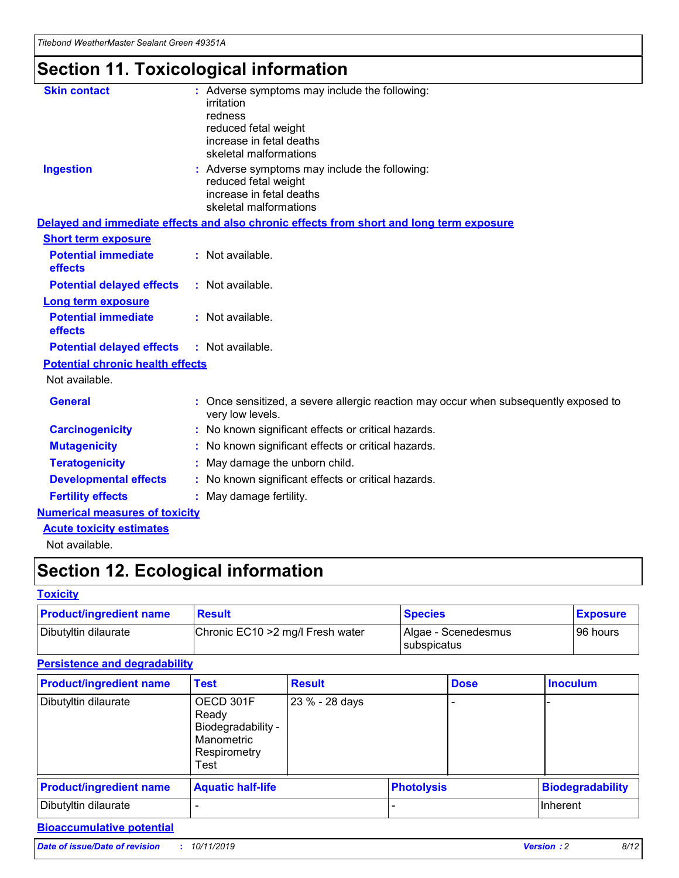## **Section 11. Toxicological information**

| <b>Skin contact</b>                     | : Adverse symptoms may include the following:<br>irritation<br>redness<br>reduced fetal weight<br>increase in fetal deaths<br>skeletal malformations |
|-----------------------------------------|------------------------------------------------------------------------------------------------------------------------------------------------------|
| <b>Ingestion</b>                        | : Adverse symptoms may include the following:<br>reduced fetal weight<br>increase in fetal deaths<br>skeletal malformations                          |
|                                         | Delayed and immediate effects and also chronic effects from short and long term exposure                                                             |
| <b>Short term exposure</b>              |                                                                                                                                                      |
| <b>Potential immediate</b><br>effects   | : Not available.                                                                                                                                     |
| <b>Potential delayed effects</b>        | : Not available.                                                                                                                                     |
| <b>Long term exposure</b>               |                                                                                                                                                      |
| <b>Potential immediate</b><br>effects   | : Not available.                                                                                                                                     |
| <b>Potential delayed effects</b>        | : Not available.                                                                                                                                     |
| <b>Potential chronic health effects</b> |                                                                                                                                                      |
| Not available.                          |                                                                                                                                                      |
| <b>General</b>                          | : Once sensitized, a severe allergic reaction may occur when subsequently exposed to<br>very low levels.                                             |
| <b>Carcinogenicity</b>                  | : No known significant effects or critical hazards.                                                                                                  |
| <b>Mutagenicity</b>                     | No known significant effects or critical hazards.                                                                                                    |
| <b>Teratogenicity</b>                   | May damage the unborn child.                                                                                                                         |
| <b>Developmental effects</b>            | No known significant effects or critical hazards.                                                                                                    |
| <b>Fertility effects</b>                | : May damage fertility.                                                                                                                              |
| <b>Numerical measures of toxicity</b>   |                                                                                                                                                      |
| <b>Acute toxicity estimates</b>         |                                                                                                                                                      |
|                                         |                                                                                                                                                      |

Not available.

## **Section 12. Ecological information**

#### **Toxicity**

| <b>Product/ingredient name</b> | <b>Result</b>                     | <b>Species</b>                       | <b>Exposure</b> |
|--------------------------------|-----------------------------------|--------------------------------------|-----------------|
| Dibutyltin dilaurate           | Chronic EC10 > 2 mg/l Fresh water | Algae - Scenedesmus<br>I subspicatus | l 96 hours i    |

### **Persistence and degradability**

| <b>Product/ingredient name</b> | <b>Test</b>                                                                    | <b>Result</b>  |                   | <b>Dose</b> | <b>Inoculum</b>         |
|--------------------------------|--------------------------------------------------------------------------------|----------------|-------------------|-------------|-------------------------|
| Dibutyltin dilaurate           | OECD 301F<br>Ready<br>Biodegradability -<br>Manometric<br>Respirometry<br>Test | 23 % - 28 days |                   |             |                         |
| <b>Product/ingredient name</b> | <b>Aquatic half-life</b>                                                       |                | <b>Photolysis</b> |             | <b>Biodegradability</b> |
| Dibutyltin dilaurate           |                                                                                |                |                   |             | Inherent                |

### **Bioaccumulative potential**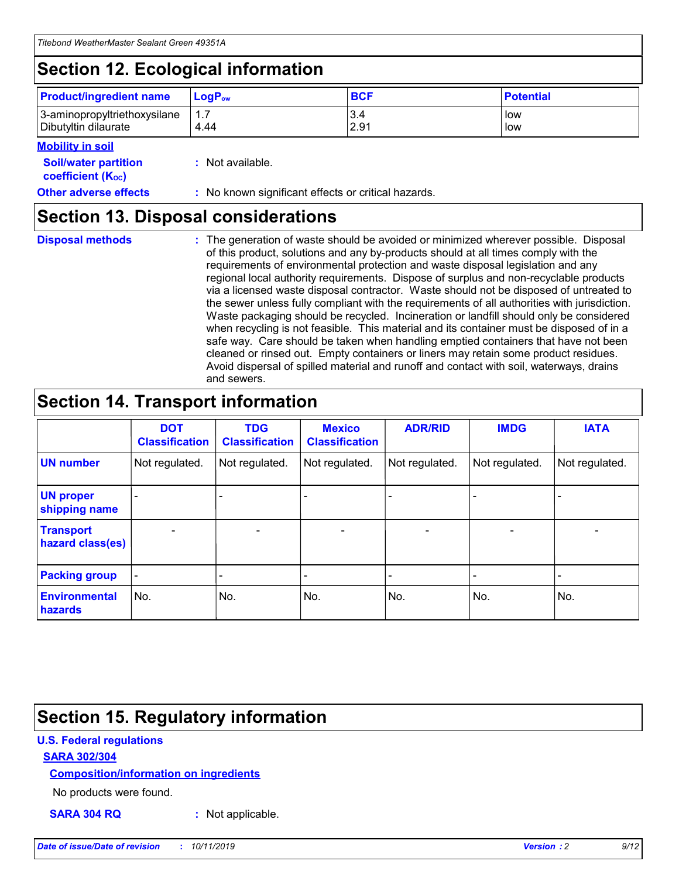## **Section 12. Ecological information**

| <b>Product/ingredient name</b> | $LoaPow$ | <b>BCF</b> | <b>Potential</b> |
|--------------------------------|----------|------------|------------------|
| 3-aminopropyltriethoxysilane   | 1.7      | 3.4        | low              |
| Dibutyltin dilaurate           | 4.44     | 2.91       | low              |

#### **Mobility in soil**

| <b>Soil/water partition</b><br>coefficient (K <sub>oc</sub> ) | : Not available.                                    |
|---------------------------------------------------------------|-----------------------------------------------------|
| <b>Other adverse effects</b>                                  | : No known significant effects or critical hazards. |

### **Section 13. Disposal considerations**

**Disposal methods :**

The generation of waste should be avoided or minimized wherever possible. Disposal of this product, solutions and any by-products should at all times comply with the requirements of environmental protection and waste disposal legislation and any regional local authority requirements. Dispose of surplus and non-recyclable products via a licensed waste disposal contractor. Waste should not be disposed of untreated to the sewer unless fully compliant with the requirements of all authorities with jurisdiction. Waste packaging should be recycled. Incineration or landfill should only be considered when recycling is not feasible. This material and its container must be disposed of in a safe way. Care should be taken when handling emptied containers that have not been cleaned or rinsed out. Empty containers or liners may retain some product residues. Avoid dispersal of spilled material and runoff and contact with soil, waterways, drains and sewers.

## **Section 14. Transport information**

|                                      | <b>DOT</b><br><b>Classification</b> | <b>TDG</b><br><b>Classification</b> | <b>Mexico</b><br><b>Classification</b> | <b>ADR/RID</b>           | <b>IMDG</b>     | <b>IATA</b>              |
|--------------------------------------|-------------------------------------|-------------------------------------|----------------------------------------|--------------------------|-----------------|--------------------------|
| <b>UN number</b>                     | Not regulated.                      | Not regulated.                      | Not regulated.                         | Not regulated.           | Not regulated.  | Not regulated.           |
| <b>UN proper</b><br>shipping name    | $\qquad \qquad \blacksquare$        |                                     |                                        |                          |                 |                          |
| <b>Transport</b><br>hazard class(es) | $\overline{\phantom{0}}$            | $\qquad \qquad$                     | $\qquad \qquad$                        | $\overline{\phantom{a}}$ | $\qquad \qquad$ | $\overline{\phantom{0}}$ |
| <b>Packing group</b>                 | $\overline{\phantom{a}}$            | -                                   |                                        |                          |                 |                          |
| <b>Environmental</b><br>hazards      | No.                                 | No.                                 | No.                                    | No.                      | No.             | No.                      |

## **Section 15. Regulatory information**

#### **U.S. Federal regulations**

#### **SARA 302/304**

#### **Composition/information on ingredients**

No products were found.

**SARA 304 RQ :** Not applicable.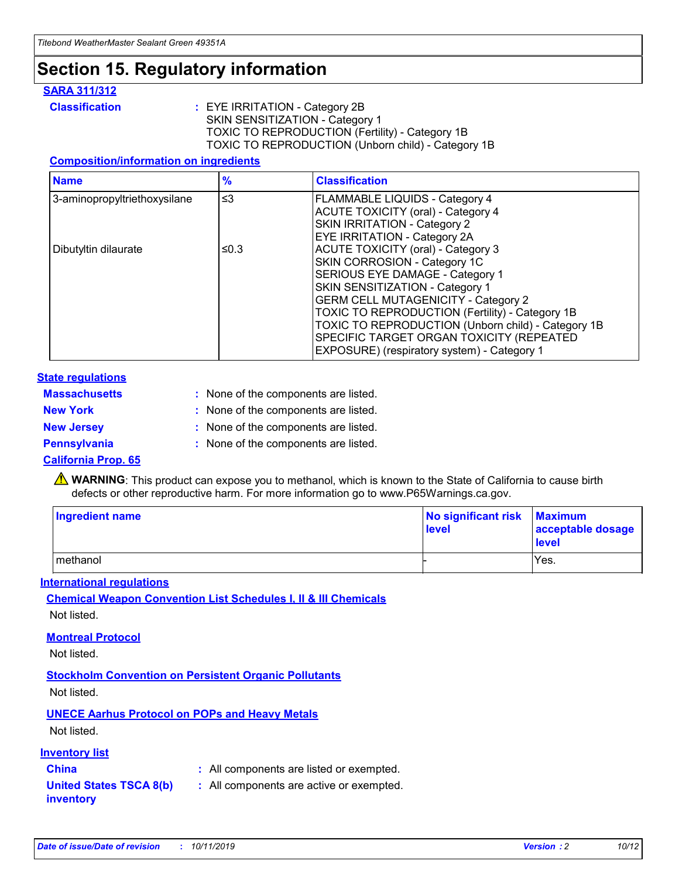### **Section 15. Regulatory information**

#### **SARA 311/312**

**Classification :** EYE IRRITATION - Category 2B SKIN SENSITIZATION - Category 1 TOXIC TO REPRODUCTION (Fertility) - Category 1B TOXIC TO REPRODUCTION (Unborn child) - Category 1B

#### **Composition/information on ingredients**

| <b>Name</b>                  | $\frac{9}{6}$ | <b>Classification</b>                                                                                            |
|------------------------------|---------------|------------------------------------------------------------------------------------------------------------------|
| 3-aminopropyltriethoxysilane | $\leq$ 3      | <b>FLAMMABLE LIQUIDS - Category 4</b><br><b>ACUTE TOXICITY (oral) - Category 4</b>                               |
|                              |               | SKIN IRRITATION - Category 2<br>EYE IRRITATION - Category 2A                                                     |
| Dibutyltin dilaurate         | ≤0.3          | ACUTE TOXICITY (oral) - Category 3<br>SKIN CORROSION - Category 1C                                               |
|                              |               | SERIOUS EYE DAMAGE - Category 1<br>SKIN SENSITIZATION - Category 1<br><b>GERM CELL MUTAGENICITY - Category 2</b> |
|                              |               | TOXIC TO REPRODUCTION (Fertility) - Category 1B<br>TOXIC TO REPRODUCTION (Unborn child) - Category 1B            |
|                              |               | SPECIFIC TARGET ORGAN TOXICITY (REPEATED<br>EXPOSURE) (respiratory system) - Category 1                          |

#### **State regulations**

| <b>Massachusetts</b> | : None of the components are listed. |
|----------------------|--------------------------------------|
| <b>New York</b>      | : None of the components are listed. |
| <b>New Jersey</b>    | : None of the components are listed. |
| <b>Pennsylvania</b>  | : None of the components are listed. |

#### **California Prop. 65**

**A** WARNING: This product can expose you to methanol, which is known to the State of California to cause birth defects or other reproductive harm. For more information go to www.P65Warnings.ca.gov.

| <b>Ingredient name</b> | No significant risk Maximum<br>level | acceptable dosage<br>level |
|------------------------|--------------------------------------|----------------------------|
| methanol               |                                      | Yes.                       |

#### **International regulations**

**Chemical Weapon Convention List Schedules I, II & III Chemicals** Not listed.

#### **Montreal Protocol**

Not listed.

**Stockholm Convention on Persistent Organic Pollutants**

Not listed.

### **UNECE Aarhus Protocol on POPs and Heavy Metals**

Not listed.

#### **Inventory list**

### **China :** All components are listed or exempted.

**United States TSCA 8(b) inventory :** All components are active or exempted.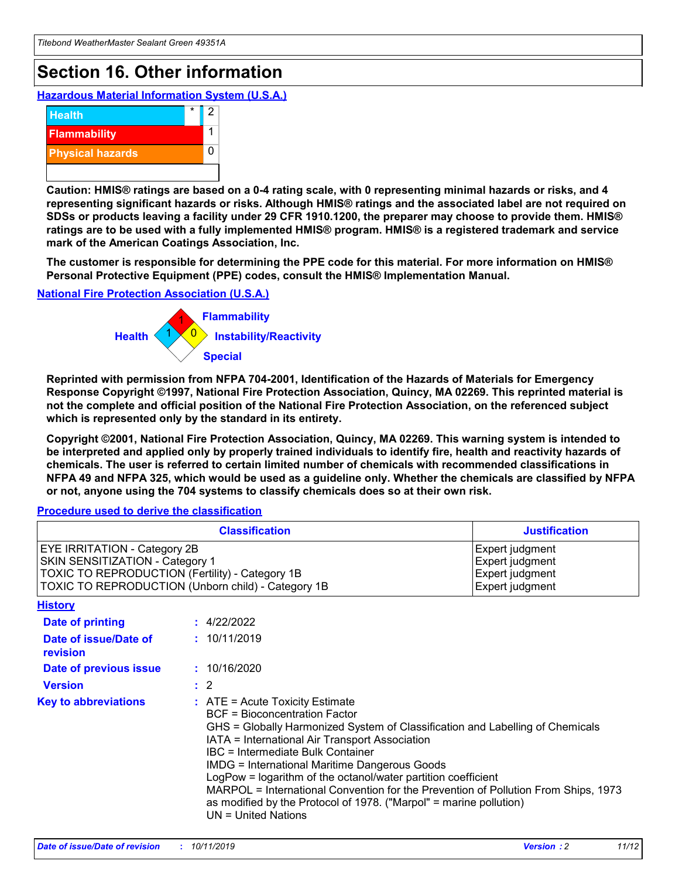## **Section 16. Other information**

**Hazardous Material Information System (U.S.A.)**



**Caution: HMIS® ratings are based on a 0-4 rating scale, with 0 representing minimal hazards or risks, and 4 representing significant hazards or risks. Although HMIS® ratings and the associated label are not required on SDSs or products leaving a facility under 29 CFR 1910.1200, the preparer may choose to provide them. HMIS® ratings are to be used with a fully implemented HMIS® program. HMIS® is a registered trademark and service mark of the American Coatings Association, Inc.**

**The customer is responsible for determining the PPE code for this material. For more information on HMIS® Personal Protective Equipment (PPE) codes, consult the HMIS® Implementation Manual.**

#### **National Fire Protection Association (U.S.A.)**



**Reprinted with permission from NFPA 704-2001, Identification of the Hazards of Materials for Emergency Response Copyright ©1997, National Fire Protection Association, Quincy, MA 02269. This reprinted material is not the complete and official position of the National Fire Protection Association, on the referenced subject which is represented only by the standard in its entirety.**

**Copyright ©2001, National Fire Protection Association, Quincy, MA 02269. This warning system is intended to be interpreted and applied only by properly trained individuals to identify fire, health and reactivity hazards of chemicals. The user is referred to certain limited number of chemicals with recommended classifications in NFPA 49 and NFPA 325, which would be used as a guideline only. Whether the chemicals are classified by NFPA or not, anyone using the 704 systems to classify chemicals does so at their own risk.**

#### **Procedure used to derive the classification**

| <b>Classification</b>                                                                                                                                                                  |                                                                                                                                                                                                                                                                   | <b>Justification</b>                                                                                                                                                                                                                                                                                       |  |
|----------------------------------------------------------------------------------------------------------------------------------------------------------------------------------------|-------------------------------------------------------------------------------------------------------------------------------------------------------------------------------------------------------------------------------------------------------------------|------------------------------------------------------------------------------------------------------------------------------------------------------------------------------------------------------------------------------------------------------------------------------------------------------------|--|
| <b>EYE IRRITATION - Category 2B</b><br>SKIN SENSITIZATION - Category 1<br><b>TOXIC TO REPRODUCTION (Fertility) - Category 1B</b><br>TOXIC TO REPRODUCTION (Unborn child) - Category 1B |                                                                                                                                                                                                                                                                   | Expert judgment<br>Expert judgment<br>Expert judgment<br>Expert judgment                                                                                                                                                                                                                                   |  |
| <b>History</b>                                                                                                                                                                         |                                                                                                                                                                                                                                                                   |                                                                                                                                                                                                                                                                                                            |  |
| <b>Date of printing</b>                                                                                                                                                                | : 4/22/2022                                                                                                                                                                                                                                                       |                                                                                                                                                                                                                                                                                                            |  |
| Date of issue/Date of<br>revision                                                                                                                                                      | : 10/11/2019                                                                                                                                                                                                                                                      |                                                                                                                                                                                                                                                                                                            |  |
| Date of previous issue                                                                                                                                                                 | : 10/16/2020                                                                                                                                                                                                                                                      |                                                                                                                                                                                                                                                                                                            |  |
| <b>Version</b>                                                                                                                                                                         | $\therefore$ 2                                                                                                                                                                                                                                                    |                                                                                                                                                                                                                                                                                                            |  |
| <b>Key to abbreviations</b>                                                                                                                                                            | $\therefore$ ATE = Acute Toxicity Estimate<br><b>BCF</b> = Bioconcentration Factor<br>IATA = International Air Transport Association<br><b>IBC</b> = Intermediate Bulk Container<br><b>IMDG = International Maritime Dangerous Goods</b><br>$UN = United Nations$ | GHS = Globally Harmonized System of Classification and Labelling of Chemicals<br>LogPow = logarithm of the octanol/water partition coefficient<br>MARPOL = International Convention for the Prevention of Pollution From Ships, 1973<br>as modified by the Protocol of 1978. ("Marpol" = marine pollution) |  |